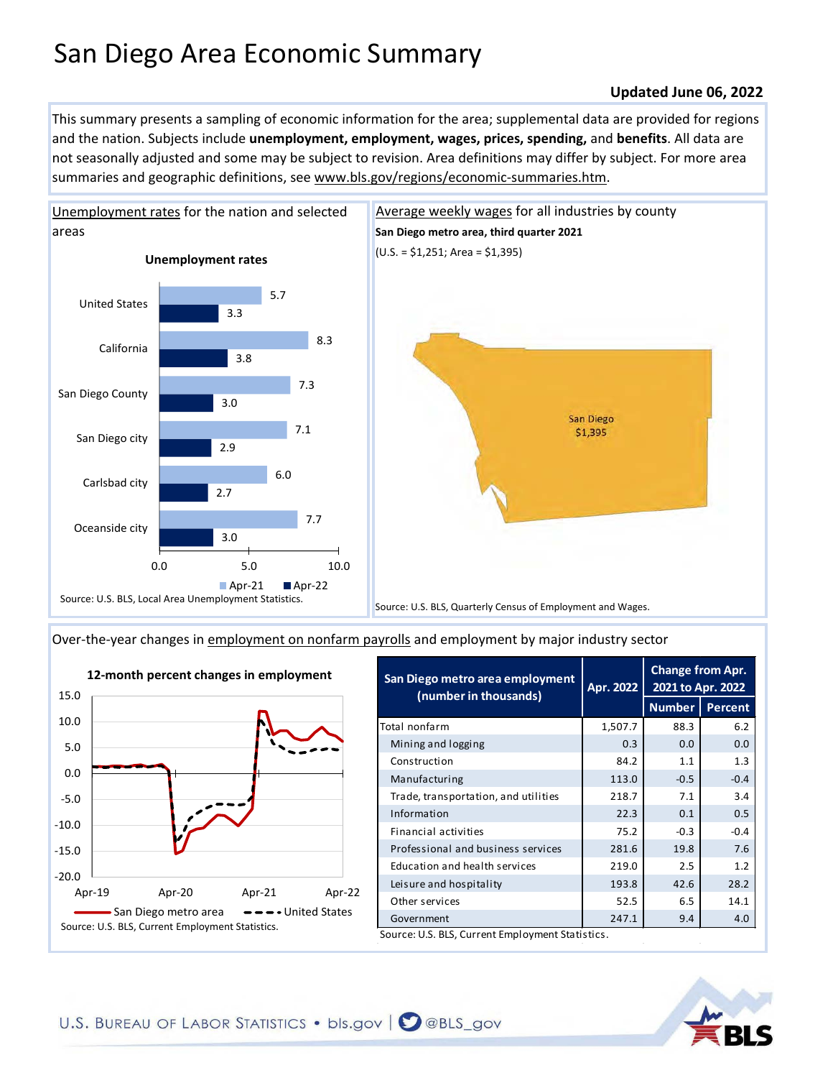## San Diego Area Economic Summary

## **Updated June 06, 2022**

This summary presents a sampling of economic information for the area; supplemental data are provided for regions and the nation. Subjects include **unemployment, employment, wages, prices, spending,** and **benefits**. All data are not seasonally adjusted and some may be subject to revision. Area definitions may differ by subject. For more area summaries and geographic definitions, see www.bls.gov/regions/economic-summaries.htm.



[Unemployment rates for the nation and selected](https://www.bls.gov/lau/) 



[Over-the-year changes in employment on nonfarm payrolls](https://www.bls.gov/sae/) and employment by major industry sector



| San Diego metro area employment<br>(number in thousands) | Apr. 2022 | <b>Change from Apr.</b><br>2021 to Apr. 2022 |         |  |
|----------------------------------------------------------|-----------|----------------------------------------------|---------|--|
|                                                          |           | <b>Number</b>                                | Percent |  |
| Total nonfarm                                            | 1,507.7   | 88.3                                         | 6.2     |  |
| Mining and logging                                       | 0.3       | 0.0                                          | 0.0     |  |
| Construction                                             | 84.2      | 1.1                                          | 1.3     |  |
| Manufacturing                                            | 113.0     | $-0.5$                                       | $-0.4$  |  |
| Trade, transportation, and utilities                     | 218.7     | 7.1                                          | 3.4     |  |
| Information                                              | 22.3      | 0.1                                          | 0.5     |  |
| Financial activities                                     | 75.2      | $-0.3$                                       | $-0.4$  |  |
| Professional and business services                       | 281.6     | 19.8                                         | 7.6     |  |
| Education and health services                            | 219.0     | 2.5                                          | 1.2     |  |
| Leisure and hospitality                                  | 193.8     | 42.6                                         | 28.2    |  |
| Other services                                           | 52.5      | 6.5                                          | 14.1    |  |
| Government                                               | 247.1     | 9.4                                          | 4.0     |  |
| Source: U.S. BLS, Current Employment Statistics.         |           |                                              |         |  |